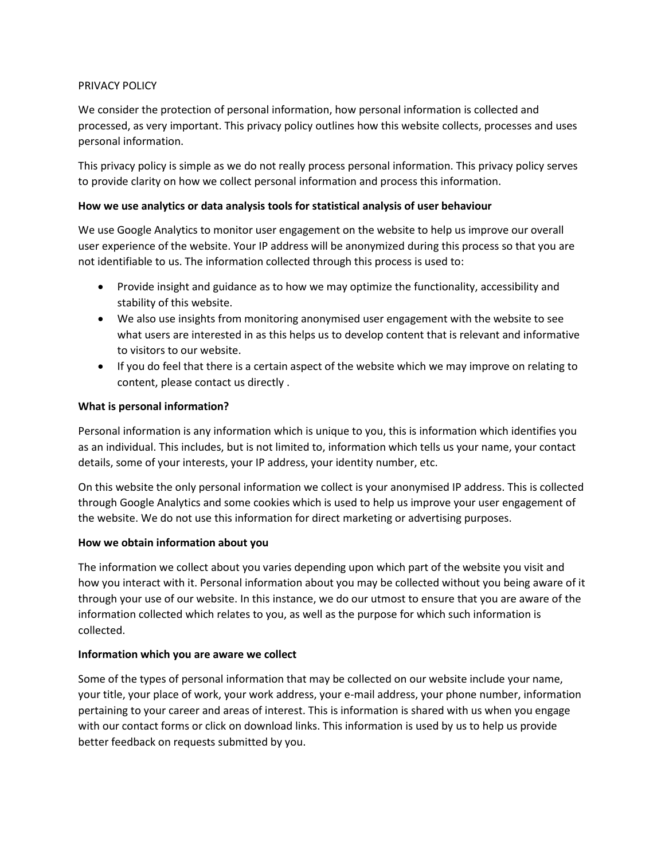### PRIVACY POLICY

We consider the protection of personal information, how personal information is collected and processed, as very important. This privacy policy outlines how this website collects, processes and uses personal information.

This privacy policy is simple as we do not really process personal information. This privacy policy serves to provide clarity on how we collect personal information and process this information.

#### **How we use analytics or data analysis tools for statistical analysis of user behaviour**

We use Google Analytics to monitor user engagement on the website to help us improve our overall user experience of the website. Your IP address will be anonymized during this process so that you are not identifiable to us. The information collected through this process is used to:

- Provide insight and guidance as to how we may optimize the functionality, accessibility and stability of this website.
- We also use insights from monitoring anonymised user engagement with the website to see what users are interested in as this helps us to develop content that is relevant and informative to visitors to our website.
- If you do feel that there is a certain aspect of the website which we may improve on relating to content, please contact us directly .

#### **What is personal information?**

Personal information is any information which is unique to you, this is information which identifies you as an individual. This includes, but is not limited to, information which tells us your name, your contact details, some of your interests, your IP address, your identity number, etc.

On this website the only personal information we collect is your anonymised IP address. This is collected through Google Analytics and some cookies which is used to help us improve your user engagement of the website. We do not use this information for direct marketing or advertising purposes.

### **How we obtain information about you**

The information we collect about you varies depending upon which part of the website you visit and how you interact with it. Personal information about you may be collected without you being aware of it through your use of our website. In this instance, we do our utmost to ensure that you are aware of the information collected which relates to you, as well as the purpose for which such information is collected.

### **Information which you are aware we collect**

Some of the types of personal information that may be collected on our website include your name, your title, your place of work, your work address, your e-mail address, your phone number, information pertaining to your career and areas of interest. This is information is shared with us when you engage with our contact forms or click on download links. This information is used by us to help us provide better feedback on requests submitted by you.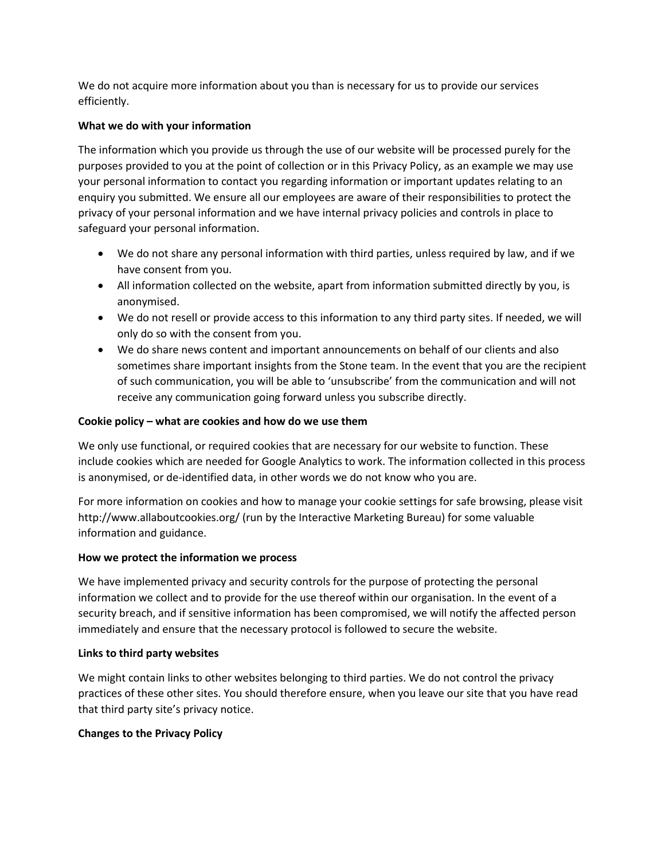We do not acquire more information about you than is necessary for us to provide our services efficiently.

# **What we do with your information**

The information which you provide us through the use of our website will be processed purely for the purposes provided to you at the point of collection or in this Privacy Policy, as an example we may use your personal information to contact you regarding information or important updates relating to an enquiry you submitted. We ensure all our employees are aware of their responsibilities to protect the privacy of your personal information and we have internal privacy policies and controls in place to safeguard your personal information.

- We do not share any personal information with third parties, unless required by law, and if we have consent from you.
- All information collected on the website, apart from information submitted directly by you, is anonymised.
- We do not resell or provide access to this information to any third party sites. If needed, we will only do so with the consent from you.
- We do share news content and important announcements on behalf of our clients and also sometimes share important insights from the Stone team. In the event that you are the recipient of such communication, you will be able to 'unsubscribe' from the communication and will not receive any communication going forward unless you subscribe directly.

### **Cookie policy – what are cookies and how do we use them**

We only use functional, or required cookies that are necessary for our website to function. These include cookies which are needed for Google Analytics to work. The information collected in this process is anonymised, or de-identified data, in other words we do not know who you are.

For more information on cookies and how to manage your cookie settings for safe browsing, please visit http://www.allaboutcookies.org/ (run by the Interactive Marketing Bureau) for some valuable information and guidance.

### **How we protect the information we process**

We have implemented privacy and security controls for the purpose of protecting the personal information we collect and to provide for the use thereof within our organisation. In the event of a security breach, and if sensitive information has been compromised, we will notify the affected person immediately and ensure that the necessary protocol is followed to secure the website.

### **Links to third party websites**

We might contain links to other websites belonging to third parties. We do not control the privacy practices of these other sites. You should therefore ensure, when you leave our site that you have read that third party site's privacy notice.

### **Changes to the Privacy Policy**